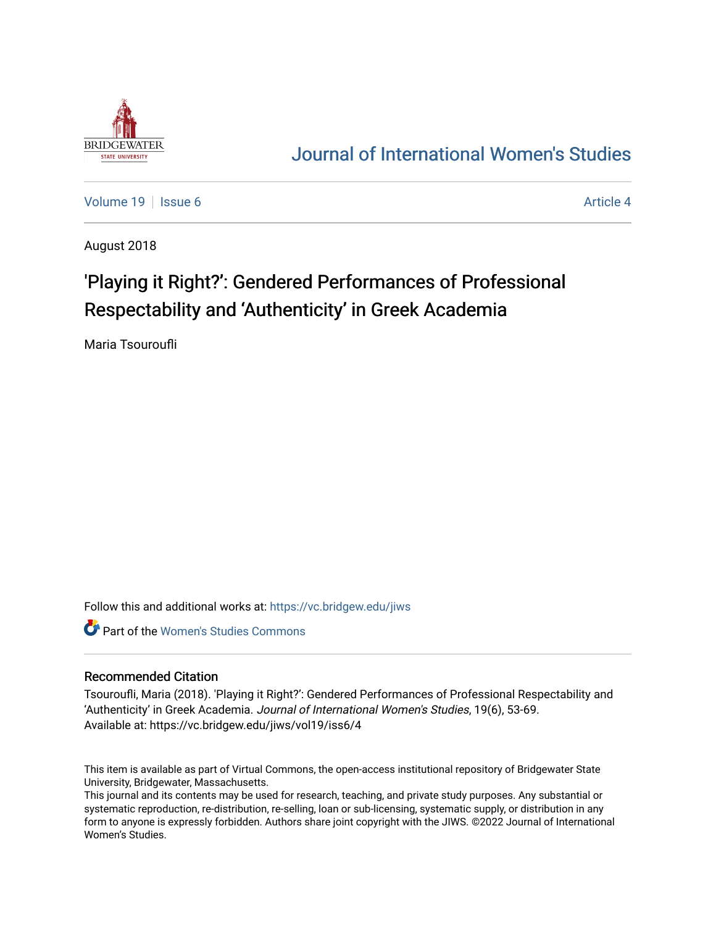

## [Journal of International Women's Studies](https://vc.bridgew.edu/jiws)

[Volume 19](https://vc.bridgew.edu/jiws/vol19) | [Issue 6](https://vc.bridgew.edu/jiws/vol19/iss6) Article 4

August 2018

# 'Playing it Right?': Gendered Performances of Professional Respectability and 'Authenticity' in Greek Academia

Maria Tsouroufli

Follow this and additional works at: [https://vc.bridgew.edu/jiws](https://vc.bridgew.edu/jiws?utm_source=vc.bridgew.edu%2Fjiws%2Fvol19%2Fiss6%2F4&utm_medium=PDF&utm_campaign=PDFCoverPages)

**C** Part of the Women's Studies Commons

#### Recommended Citation

Tsouroufli, Maria (2018). 'Playing it Right?': Gendered Performances of Professional Respectability and 'Authenticity' in Greek Academia. Journal of International Women's Studies, 19(6), 53-69. Available at: https://vc.bridgew.edu/jiws/vol19/iss6/4

This item is available as part of Virtual Commons, the open-access institutional repository of Bridgewater State University, Bridgewater, Massachusetts.

This journal and its contents may be used for research, teaching, and private study purposes. Any substantial or systematic reproduction, re-distribution, re-selling, loan or sub-licensing, systematic supply, or distribution in any form to anyone is expressly forbidden. Authors share joint copyright with the JIWS. ©2022 Journal of International Women's Studies.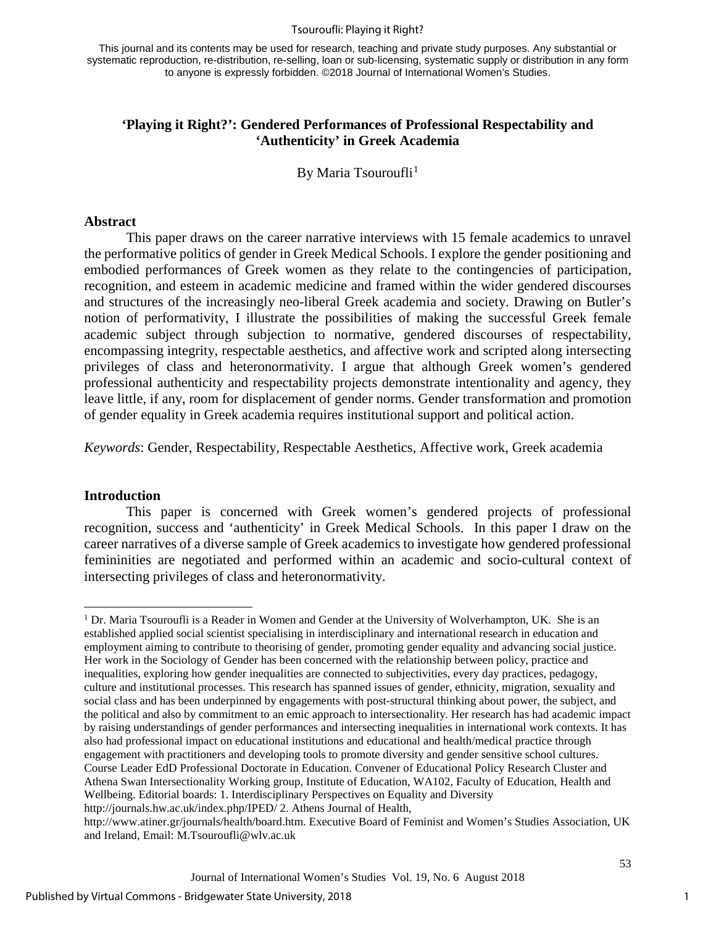#### Tsouroufli: Playing it Right?

This journal and its contents may be used for research, teaching and private study purposes. Any substantial or systematic reproduction, re-distribution, re-selling, loan or sub-licensing, systematic supply or distribution in any form to anyone is expressly forbidden. ©2018 Journal of International Women's Studies.

## **'Playing it Right?': Gendered Performances of Professional Respectability and 'Authenticity' in Greek Academia**

By Maria Tsouroufli<sup>[1](#page-1-0)</sup>

#### **Abstract**

This paper draws on the career narrative interviews with 15 female academics to unravel the performative politics of gender in Greek Medical Schools. I explore the gender positioning and embodied performances of Greek women as they relate to the contingencies of participation, recognition, and esteem in academic medicine and framed within the wider gendered discourses and structures of the increasingly neo-liberal Greek academia and society. Drawing on Butler's notion of performativity, I illustrate the possibilities of making the successful Greek female academic subject through subjection to normative, gendered discourses of respectability, encompassing integrity, respectable aesthetics, and affective work and scripted along intersecting privileges of class and heteronormativity. I argue that although Greek women's gendered professional authenticity and respectability projects demonstrate intentionality and agency, they leave little, if any, room for displacement of gender norms. Gender transformation and promotion of gender equality in Greek academia requires institutional support and political action.

*Keywords*: Gender, Respectability, Respectable Aesthetics, Affective work, Greek academia

#### **Introduction**

 $\overline{\phantom{a}}$ 

This paper is concerned with Greek women's gendered projects of professional recognition, success and 'authenticity' in Greek Medical Schools. In this paper I draw on the career narratives of a diverse sample of Greek academics to investigate how gendered professional femininities are negotiated and performed within an academic and socio-cultural context of intersecting privileges of class and heteronormativity.

<span id="page-1-0"></span> $1$  Dr. Maria Tsouroufli is a Reader in Women and Gender at the University of Wolverhampton, UK. She is an established applied social scientist specialising in interdisciplinary and international research in education and employment aiming to contribute to theorising of gender, promoting gender equality and advancing social justice. Her work in the Sociology of Gender has been concerned with the relationship between policy, practice and inequalities, exploring how gender inequalities are connected to subjectivities, every day practices, pedagogy, culture and institutional processes. This research has spanned issues of gender, ethnicity, migration, sexuality and social class and has been underpinned by engagements with post-structural thinking about power, the subject, and the political and also by commitment to an emic approach to intersectionality. Her research has had academic impact by raising understandings of gender performances and intersecting inequalities in international work contexts. It has also had professional impact on educational institutions and educational and health/medical practice through engagement with practitioners and developing tools to promote diversity and gender sensitive school cultures. Course Leader EdD Professional Doctorate in Education. Convener of Educational Policy Research Cluster and Athena Swan Intersectionality Working group, Institute of Education, WA102, Faculty of Education, Health and Wellbeing. Editorial boards: 1. Interdisciplinary Perspectives on Equality and Diversity

http://journals.hw.ac.uk/index.php/IPED/ 2. Athens Journal of Health,

http://www.atiner.gr/journals/health/board.htm. Executive Board of Feminist and Women's Studies Association, UK and Ireland, Email: M.Tsouroufli@wlv.ac.uk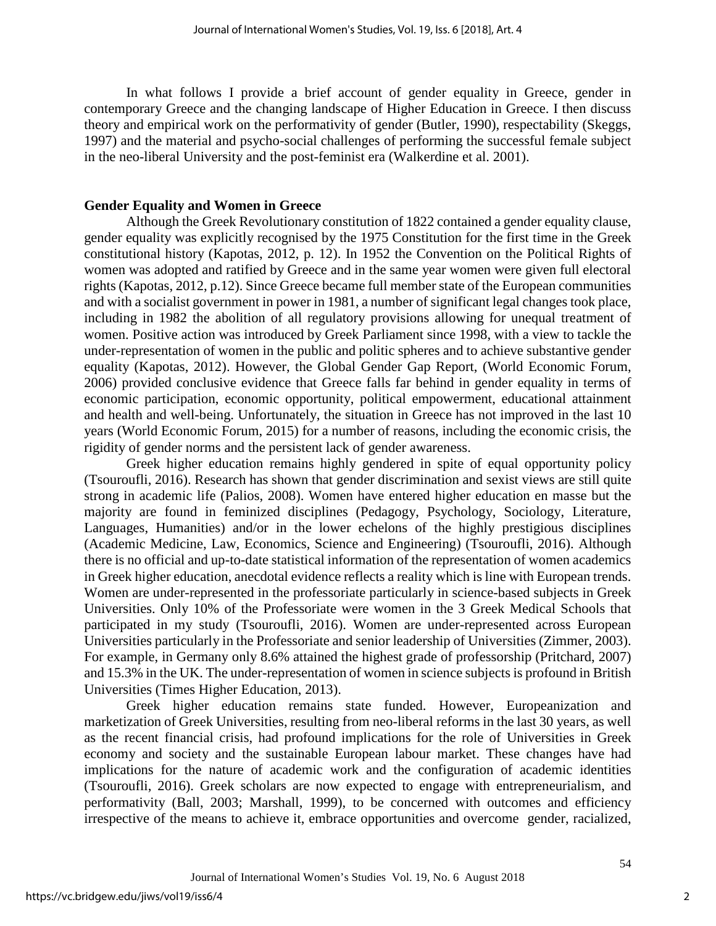In what follows I provide a brief account of gender equality in Greece, gender in contemporary Greece and the changing landscape of Higher Education in Greece. I then discuss theory and empirical work on the performativity of gender (Butler, 1990), respectability (Skeggs, 1997) and the material and psycho-social challenges of performing the successful female subject in the neo-liberal University and the post-feminist era (Walkerdine et al. 2001).

## **Gender Equality and Women in Greece**

Although the Greek Revolutionary constitution of 1822 contained a gender equality clause, gender equality was explicitly recognised by the 1975 Constitution for the first time in the Greek constitutional history (Kapotas, 2012, p. 12). In 1952 the Convention on the Political Rights of women was adopted and ratified by Greece and in the same year women were given full electoral rights (Kapotas, 2012, p.12). Since Greece became full member state of the European communities and with a socialist government in power in 1981, a number of significant legal changes took place, including in 1982 the abolition of all regulatory provisions allowing for unequal treatment of women. Positive action was introduced by Greek Parliament since 1998, with a view to tackle the under-representation of women in the public and politic spheres and to achieve substantive gender equality (Kapotas, 2012). However, the Global Gender Gap Report, (World Economic Forum, 2006) provided conclusive evidence that Greece falls far behind in gender equality in terms of economic participation, economic opportunity, political empowerment, educational attainment and health and well-being. Unfortunately, the situation in Greece has not improved in the last 10 years (World Economic Forum, 2015) for a number of reasons, including the economic crisis, the rigidity of gender norms and the persistent lack of gender awareness.

Greek higher education remains highly gendered in spite of equal opportunity policy (Tsouroufli, 2016). Research has shown that gender discrimination and sexist views are still quite strong in academic life (Palios, 2008). Women have entered higher education en masse but the majority are found in feminized disciplines (Pedagogy, Psychology, Sociology, Literature, Languages, Humanities) and/or in the lower echelons of the highly prestigious disciplines (Academic Medicine, Law, Economics, Science and Engineering) (Tsouroufli, 2016). Although there is no official and up-to-date statistical information of the representation of women academics in Greek higher education, anecdotal evidence reflects a reality which is line with European trends. Women are under-represented in the professoriate particularly in science-based subjects in Greek Universities. Only 10% of the Professoriate were women in the 3 Greek Medical Schools that participated in my study (Tsouroufli, 2016). Women are under-represented across European Universities particularly in the Professoriate and senior leadership of Universities (Zimmer, 2003). For example, in Germany only 8.6% attained the highest grade of professorship (Pritchard, 2007) and 15.3% in the UK. The under-representation of women in science subjects is profound in British Universities (Times Higher Education, 2013).

Greek higher education remains state funded. However, Europeanization and marketization of Greek Universities, resulting from neo-liberal reforms in the last 30 years, as well as the recent financial crisis, had profound implications for the role of Universities in Greek economy and society and the sustainable European labour market. These changes have had implications for the nature of academic work and the configuration of academic identities (Tsouroufli, 2016). Greek scholars are now expected to engage with entrepreneurialism, and performativity (Ball, 2003; Marshall, 1999), to be concerned with outcomes and efficiency irrespective of the means to achieve it, embrace opportunities and overcome gender, racialized,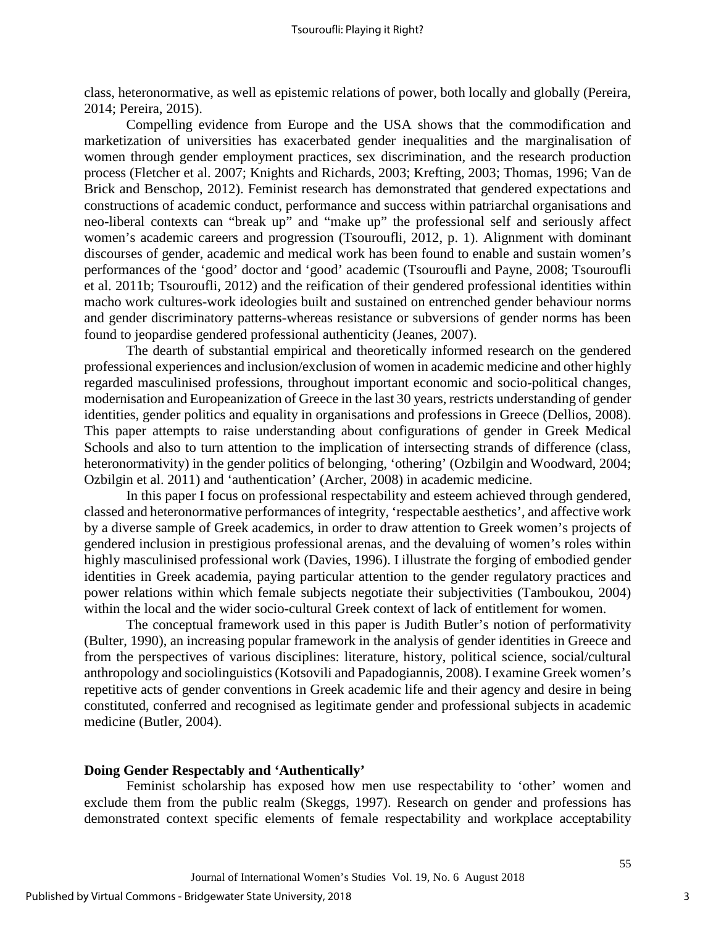class, heteronormative, as well as epistemic relations of power, both locally and globally (Pereira, 2014; Pereira, 2015).

Compelling evidence from Europe and the USA shows that the commodification and marketization of universities has exacerbated gender inequalities and the marginalisation of women through gender employment practices, sex discrimination, and the research production process (Fletcher et al. 2007; Knights and Richards, 2003; Krefting, 2003; Thomas, 1996; Van de Brick and Benschop, 2012). Feminist research has demonstrated that gendered expectations and constructions of academic conduct, performance and success within patriarchal organisations and neo-liberal contexts can "break up" and "make up" the professional self and seriously affect women's academic careers and progression (Tsouroufli, 2012, p. 1). Alignment with dominant discourses of gender, academic and medical work has been found to enable and sustain women's performances of the 'good' doctor and 'good' academic (Tsouroufli and Payne, 2008; Tsouroufli et al. 2011b; Tsouroufli, 2012) and the reification of their gendered professional identities within macho work cultures-work ideologies built and sustained on entrenched gender behaviour norms and gender discriminatory patterns-whereas resistance or subversions of gender norms has been found to jeopardise gendered professional authenticity (Jeanes, 2007).

The dearth of substantial empirical and theoretically informed research on the gendered professional experiences and inclusion/exclusion of women in academic medicine and other highly regarded masculinised professions, throughout important economic and socio-political changes, modernisation and Europeanization of Greece in the last 30 years, restricts understanding of gender identities, gender politics and equality in organisations and professions in Greece (Dellios, 2008). This paper attempts to raise understanding about configurations of gender in Greek Medical Schools and also to turn attention to the implication of intersecting strands of difference (class, heteronormativity) in the gender politics of belonging, 'othering' (Ozbilgin and Woodward, 2004; Ozbilgin et al. 2011) and 'authentication' (Archer, 2008) in academic medicine.

In this paper I focus on professional respectability and esteem achieved through gendered, classed and heteronormative performances of integrity, 'respectable aesthetics', and affective work by a diverse sample of Greek academics, in order to draw attention to Greek women's projects of gendered inclusion in prestigious professional arenas, and the devaluing of women's roles within highly masculinised professional work (Davies, 1996). I illustrate the forging of embodied gender identities in Greek academia, paying particular attention to the gender regulatory practices and power relations within which female subjects negotiate their subjectivities (Tamboukou, 2004) within the local and the wider socio-cultural Greek context of lack of entitlement for women.

The conceptual framework used in this paper is Judith Butler's notion of performativity (Bulter, 1990), an increasing popular framework in the analysis of gender identities in Greece and from the perspectives of various disciplines: literature, history, political science, social/cultural anthropology and sociolinguistics (Kotsovili and Papadogiannis, 2008). I examine Greek women's repetitive acts of gender conventions in Greek academic life and their agency and desire in being constituted, conferred and recognised as legitimate gender and professional subjects in academic medicine (Butler, 2004).

#### **Doing Gender Respectably and 'Authentically'**

Feminist scholarship has exposed how men use respectability to 'other' women and exclude them from the public realm (Skeggs, 1997). Research on gender and professions has demonstrated context specific elements of female respectability and workplace acceptability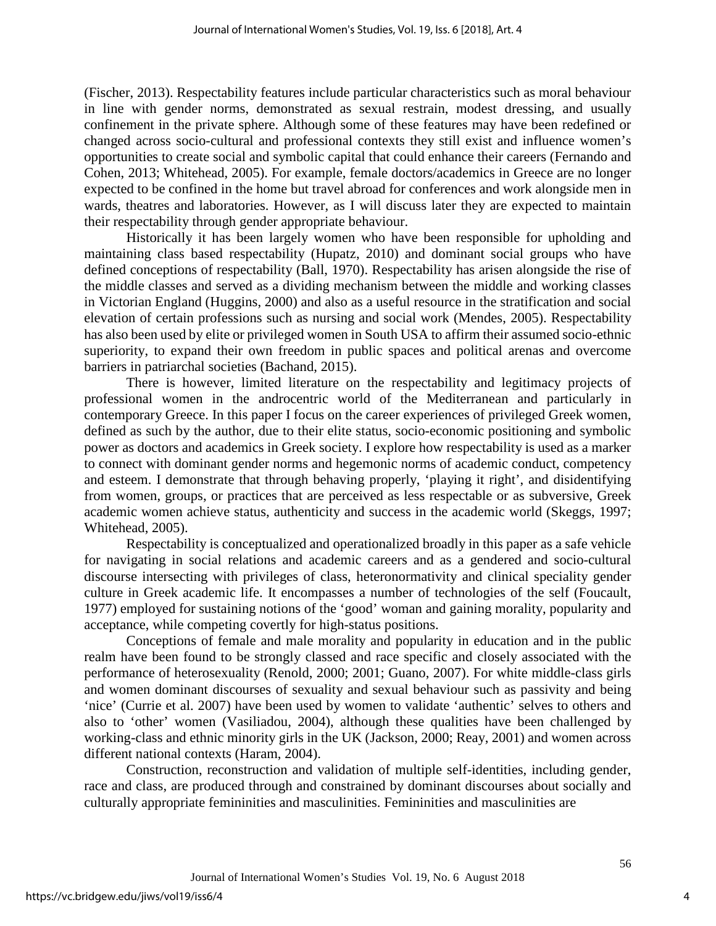(Fischer, 2013). Respectability features include particular characteristics such as moral behaviour in line with gender norms, demonstrated as sexual restrain, modest dressing, and usually confinement in the private sphere. Although some of these features may have been redefined or changed across socio-cultural and professional contexts they still exist and influence women's opportunities to create social and symbolic capital that could enhance their careers (Fernando and Cohen, 2013; Whitehead, 2005). For example, female doctors/academics in Greece are no longer expected to be confined in the home but travel abroad for conferences and work alongside men in wards, theatres and laboratories. However, as I will discuss later they are expected to maintain their respectability through gender appropriate behaviour.

Historically it has been largely women who have been responsible for upholding and maintaining class based respectability (Hupatz, 2010) and dominant social groups who have defined conceptions of respectability (Ball, 1970). Respectability has arisen alongside the rise of the middle classes and served as a dividing mechanism between the middle and working classes in Victorian England (Huggins, 2000) and also as a useful resource in the stratification and social elevation of certain professions such as nursing and social work (Mendes, 2005). Respectability has also been used by elite or privileged women in South USA to affirm their assumed socio-ethnic superiority, to expand their own freedom in public spaces and political arenas and overcome barriers in patriarchal societies (Bachand, 2015).

There is however, limited literature on the respectability and legitimacy projects of professional women in the androcentric world of the Mediterranean and particularly in contemporary Greece. In this paper I focus on the career experiences of privileged Greek women, defined as such by the author, due to their elite status, socio-economic positioning and symbolic power as doctors and academics in Greek society. I explore how respectability is used as a marker to connect with dominant gender norms and hegemonic norms of academic conduct, competency and esteem. I demonstrate that through behaving properly, 'playing it right', and disidentifying from women, groups, or practices that are perceived as less respectable or as subversive, Greek academic women achieve status, authenticity and success in the academic world (Skeggs, 1997; Whitehead, 2005).

Respectability is conceptualized and operationalized broadly in this paper as a safe vehicle for navigating in social relations and academic careers and as a gendered and socio-cultural discourse intersecting with privileges of class, heteronormativity and clinical speciality gender culture in Greek academic life. It encompasses a number of technologies of the self (Foucault, 1977) employed for sustaining notions of the 'good' woman and gaining morality, popularity and acceptance, while competing covertly for high-status positions.

Conceptions of female and male morality and popularity in education and in the public realm have been found to be strongly classed and race specific and closely associated with the performance of heterosexuality (Renold, 2000; 2001; Guano, 2007). For white middle-class girls and women dominant discourses of sexuality and sexual behaviour such as passivity and being 'nice' (Currie et al. 2007) have been used by women to validate 'authentic' selves to others and also to 'other' women (Vasiliadou, 2004), although these qualities have been challenged by working-class and ethnic minority girls in the UK (Jackson, 2000; Reay, 2001) and women across different national contexts (Haram, 2004).

Construction, reconstruction and validation of multiple self-identities, including gender, race and class, are produced through and constrained by dominant discourses about socially and culturally appropriate femininities and masculinities. Femininities and masculinities are

4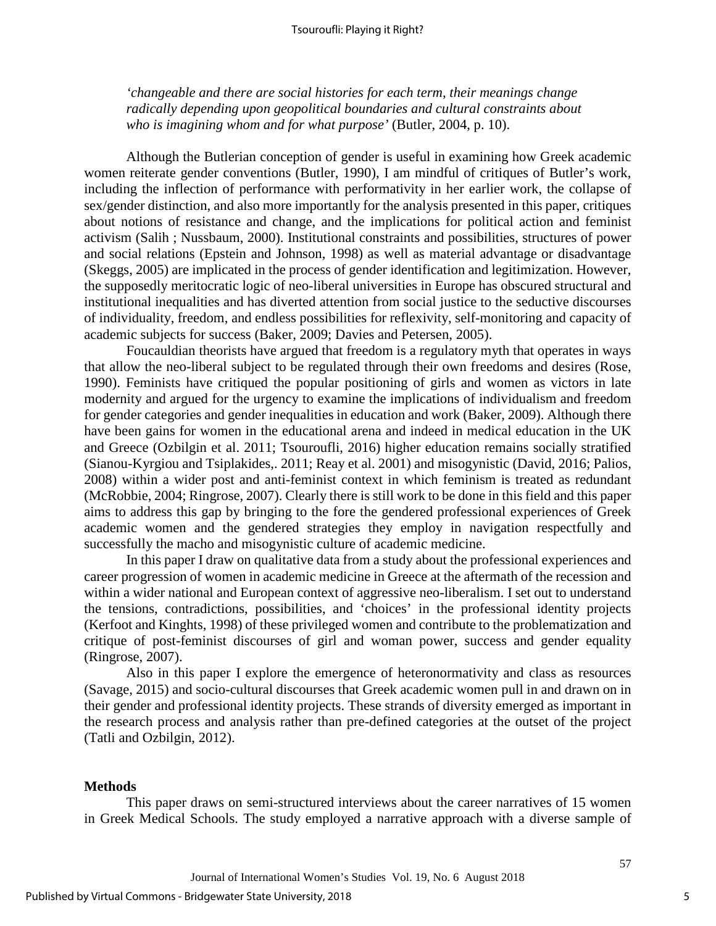*'changeable and there are social histories for each term, their meanings change radically depending upon geopolitical boundaries and cultural constraints about who is imagining whom and for what purpose'* (Butler, 2004, p. 10).

Although the Butlerian conception of gender is useful in examining how Greek academic women reiterate gender conventions (Butler, 1990), I am mindful of critiques of Butler's work, including the inflection of performance with performativity in her earlier work, the collapse of sex/gender distinction, and also more importantly for the analysis presented in this paper, critiques about notions of resistance and change, and the implications for political action and feminist activism (Salih ; Nussbaum, 2000). Institutional constraints and possibilities, structures of power and social relations (Epstein and Johnson, 1998) as well as material advantage or disadvantage (Skeggs, 2005) are implicated in the process of gender identification and legitimization. However, the supposedly meritocratic logic of neo-liberal universities in Europe has obscured structural and institutional inequalities and has diverted attention from social justice to the seductive discourses of individuality, freedom, and endless possibilities for reflexivity, self-monitoring and capacity of academic subjects for success (Baker, 2009; Davies and Petersen, 2005).

Foucauldian theorists have argued that freedom is a regulatory myth that operates in ways that allow the neo-liberal subject to be regulated through their own freedoms and desires (Rose, 1990). Feminists have critiqued the popular positioning of girls and women as victors in late modernity and argued for the urgency to examine the implications of individualism and freedom for gender categories and gender inequalities in education and work (Baker, 2009). Although there have been gains for women in the educational arena and indeed in medical education in the UK and Greece (Ozbilgin et al. 2011; Tsouroufli, 2016) higher education remains socially stratified (Sianou-Kyrgiou and Tsiplakides,. 2011; Reay et al. 2001) and misogynistic (David, 2016; Palios, 2008) within a wider post and anti-feminist context in which feminism is treated as redundant (McRobbie, 2004; Ringrose, 2007). Clearly there is still work to be done in this field and this paper aims to address this gap by bringing to the fore the gendered professional experiences of Greek academic women and the gendered strategies they employ in navigation respectfully and successfully the macho and misogynistic culture of academic medicine.

In this paper I draw on qualitative data from a study about the professional experiences and career progression of women in academic medicine in Greece at the aftermath of the recession and within a wider national and European context of aggressive neo-liberalism. I set out to understand the tensions, contradictions, possibilities, and 'choices' in the professional identity projects (Kerfoot and Kinghts, 1998) of these privileged women and contribute to the problematization and critique of post-feminist discourses of girl and woman power, success and gender equality (Ringrose, 2007).

Also in this paper I explore the emergence of heteronormativity and class as resources (Savage, 2015) and socio-cultural discourses that Greek academic women pull in and drawn on in their gender and professional identity projects. These strands of diversity emerged as important in the research process and analysis rather than pre-defined categories at the outset of the project (Tatli and Ozbilgin, 2012).

#### **Methods**

This paper draws on semi-structured interviews about the career narratives of 15 women in Greek Medical Schools. The study employed a narrative approach with a diverse sample of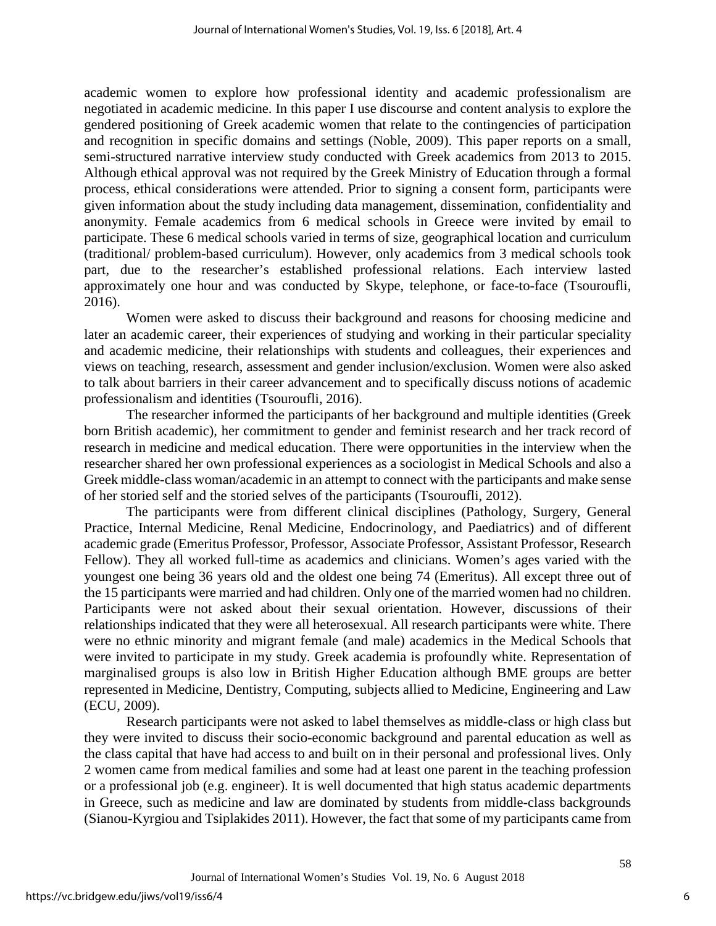academic women to explore how professional identity and academic professionalism are negotiated in academic medicine. In this paper I use discourse and content analysis to explore the gendered positioning of Greek academic women that relate to the contingencies of participation and recognition in specific domains and settings (Noble, 2009). This paper reports on a small, semi-structured narrative interview study conducted with Greek academics from 2013 to 2015. Although ethical approval was not required by the Greek Ministry of Education through a formal process, ethical considerations were attended. Prior to signing a consent form, participants were given information about the study including data management, dissemination, confidentiality and anonymity. Female academics from 6 medical schools in Greece were invited by email to participate. These 6 medical schools varied in terms of size, geographical location and curriculum (traditional/ problem-based curriculum). However, only academics from 3 medical schools took part, due to the researcher's established professional relations. Each interview lasted approximately one hour and was conducted by Skype, telephone, or face-to-face (Tsouroufli, 2016).

Women were asked to discuss their background and reasons for choosing medicine and later an academic career, their experiences of studying and working in their particular speciality and academic medicine, their relationships with students and colleagues, their experiences and views on teaching, research, assessment and gender inclusion/exclusion. Women were also asked to talk about barriers in their career advancement and to specifically discuss notions of academic professionalism and identities (Tsouroufli, 2016).

The researcher informed the participants of her background and multiple identities (Greek born British academic), her commitment to gender and feminist research and her track record of research in medicine and medical education. There were opportunities in the interview when the researcher shared her own professional experiences as a sociologist in Medical Schools and also a Greek middle-class woman/academic in an attempt to connect with the participants and make sense of her storied self and the storied selves of the participants (Tsouroufli, 2012).

The participants were from different clinical disciplines (Pathology, Surgery, General Practice, Internal Medicine, Renal Medicine, Endocrinology, and Paediatrics) and of different academic grade (Emeritus Professor, Professor, Associate Professor, Assistant Professor, Research Fellow). They all worked full-time as academics and clinicians. Women's ages varied with the youngest one being 36 years old and the oldest one being 74 (Emeritus). All except three out of the 15 participants were married and had children. Only one of the married women had no children. Participants were not asked about their sexual orientation. However, discussions of their relationships indicated that they were all heterosexual. All research participants were white. There were no ethnic minority and migrant female (and male) academics in the Medical Schools that were invited to participate in my study. Greek academia is profoundly white. Representation of marginalised groups is also low in British Higher Education although BME groups are better represented in Medicine, Dentistry, Computing, subjects allied to Medicine, Engineering and Law (ECU, 2009).

Research participants were not asked to label themselves as middle-class or high class but they were invited to discuss their socio-economic background and parental education as well as the class capital that have had access to and built on in their personal and professional lives. Only 2 women came from medical families and some had at least one parent in the teaching profession or a professional job (e.g. engineer). It is well documented that high status academic departments in Greece, such as medicine and law are dominated by students from middle-class backgrounds (Sianou-Kyrgiou and Tsiplakides 2011). However, the fact that some of my participants came from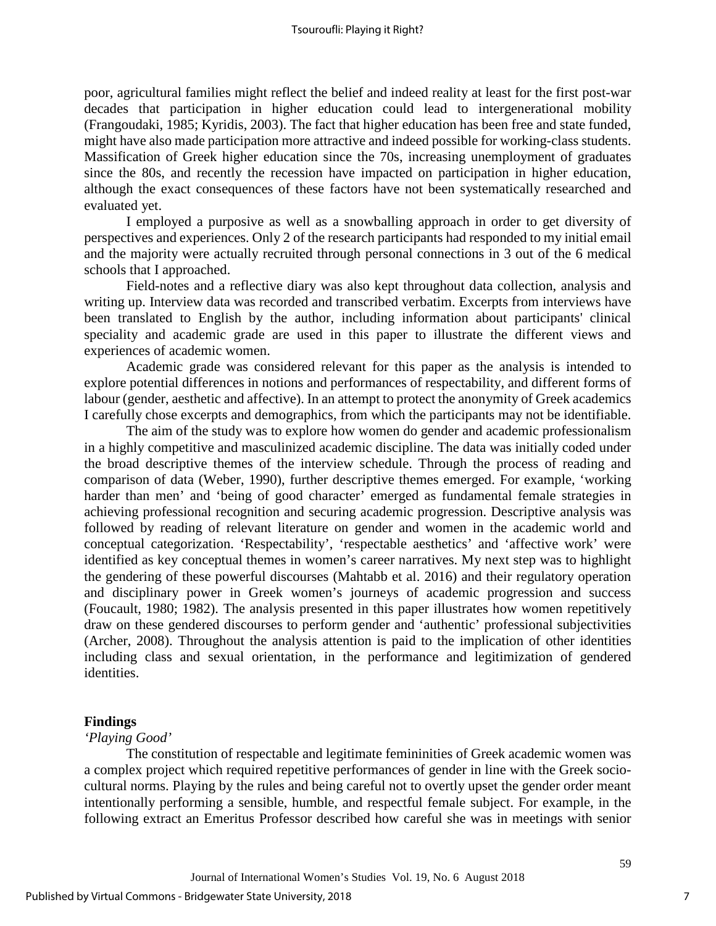poor, agricultural families might reflect the belief and indeed reality at least for the first post-war decades that participation in higher education could lead to intergenerational mobility (Frangoudaki, 1985; Kyridis, 2003). The fact that higher education has been free and state funded, might have also made participation more attractive and indeed possible for working-class students. Massification of Greek higher education since the 70s, increasing unemployment of graduates since the 80s, and recently the recession have impacted on participation in higher education, although the exact consequences of these factors have not been systematically researched and evaluated yet.

I employed a purposive as well as a snowballing approach in order to get diversity of perspectives and experiences. Only 2 of the research participants had responded to my initial email and the majority were actually recruited through personal connections in 3 out of the 6 medical schools that I approached.

Field-notes and a reflective diary was also kept throughout data collection, analysis and writing up. Interview data was recorded and transcribed verbatim. Excerpts from interviews have been translated to English by the author, including information about participants' clinical speciality and academic grade are used in this paper to illustrate the different views and experiences of academic women.

Academic grade was considered relevant for this paper as the analysis is intended to explore potential differences in notions and performances of respectability, and different forms of labour (gender, aesthetic and affective). In an attempt to protect the anonymity of Greek academics I carefully chose excerpts and demographics, from which the participants may not be identifiable.

The aim of the study was to explore how women do gender and academic professionalism in a highly competitive and masculinized academic discipline. The data was initially coded under the broad descriptive themes of the interview schedule. Through the process of reading and comparison of data (Weber, 1990), further descriptive themes emerged. For example, 'working harder than men' and 'being of good character' emerged as fundamental female strategies in achieving professional recognition and securing academic progression. Descriptive analysis was followed by reading of relevant literature on gender and women in the academic world and conceptual categorization. 'Respectability', 'respectable aesthetics' and 'affective work' were identified as key conceptual themes in women's career narratives. My next step was to highlight the gendering of these powerful discourses (Mahtabb et al. 2016) and their regulatory operation and disciplinary power in Greek women's journeys of academic progression and success (Foucault, 1980; 1982). The analysis presented in this paper illustrates how women repetitively draw on these gendered discourses to perform gender and 'authentic' professional subjectivities (Archer, 2008). Throughout the analysis attention is paid to the implication of other identities including class and sexual orientation, in the performance and legitimization of gendered identities.

## **Findings**

## *'Playing Good'*

The constitution of respectable and legitimate femininities of Greek academic women was a complex project which required repetitive performances of gender in line with the Greek sociocultural norms. Playing by the rules and being careful not to overtly upset the gender order meant intentionally performing a sensible, humble, and respectful female subject. For example, in the following extract an Emeritus Professor described how careful she was in meetings with senior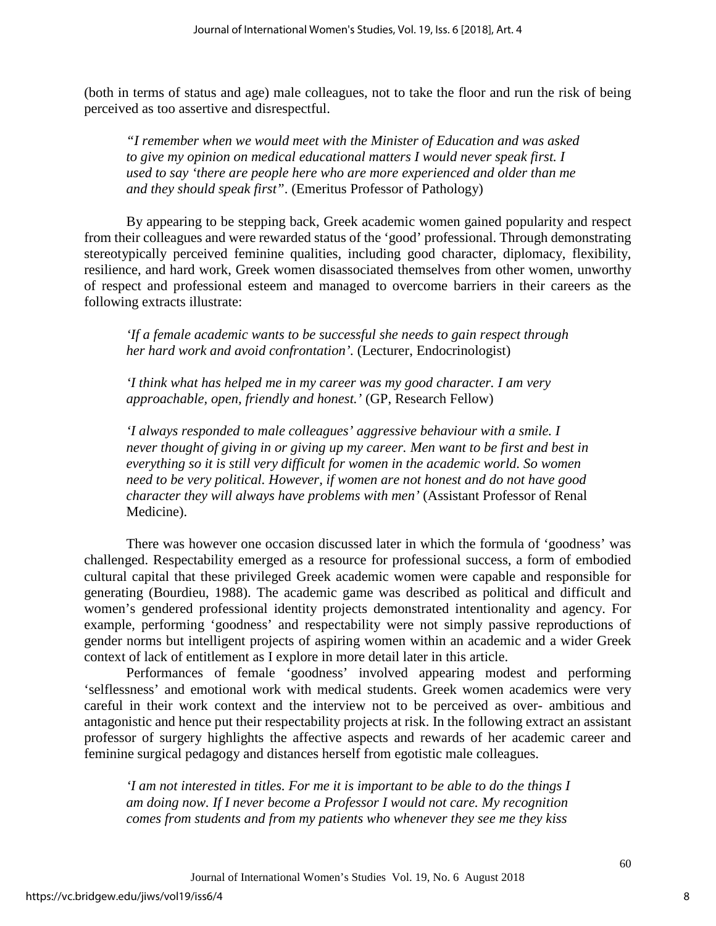(both in terms of status and age) male colleagues, not to take the floor and run the risk of being perceived as too assertive and disrespectful.

*"I remember when we would meet with the Minister of Education and was asked to give my opinion on medical educational matters I would never speak first. I used to say 'there are people here who are more experienced and older than me and they should speak first"*. (Emeritus Professor of Pathology)

By appearing to be stepping back, Greek academic women gained popularity and respect from their colleagues and were rewarded status of the 'good' professional. Through demonstrating stereotypically perceived feminine qualities, including good character, diplomacy, flexibility, resilience, and hard work, Greek women disassociated themselves from other women, unworthy of respect and professional esteem and managed to overcome barriers in their careers as the following extracts illustrate:

*'If a female academic wants to be successful she needs to gain respect through her hard work and avoid confrontation'.* (Lecturer, Endocrinologist)

*'I think what has helped me in my career was my good character. I am very approachable, open, friendly and honest.'* (GP, Research Fellow)

*'I always responded to male colleagues' aggressive behaviour with a smile. I never thought of giving in or giving up my career. Men want to be first and best in everything so it is still very difficult for women in the academic world. So women need to be very political. However, if women are not honest and do not have good character they will always have problems with men'* (Assistant Professor of Renal Medicine).

There was however one occasion discussed later in which the formula of 'goodness' was challenged. Respectability emerged as a resource for professional success, a form of embodied cultural capital that these privileged Greek academic women were capable and responsible for generating (Bourdieu, 1988). The academic game was described as political and difficult and women's gendered professional identity projects demonstrated intentionality and agency. For example, performing 'goodness' and respectability were not simply passive reproductions of gender norms but intelligent projects of aspiring women within an academic and a wider Greek context of lack of entitlement as I explore in more detail later in this article.

Performances of female 'goodness' involved appearing modest and performing 'selflessness' and emotional work with medical students. Greek women academics were very careful in their work context and the interview not to be perceived as over- ambitious and antagonistic and hence put their respectability projects at risk. In the following extract an assistant professor of surgery highlights the affective aspects and rewards of her academic career and feminine surgical pedagogy and distances herself from egotistic male colleagues.

*'I am not interested in titles. For me it is important to be able to do the things I am doing now. If I never become a Professor I would not care. My recognition comes from students and from my patients who whenever they see me they kiss*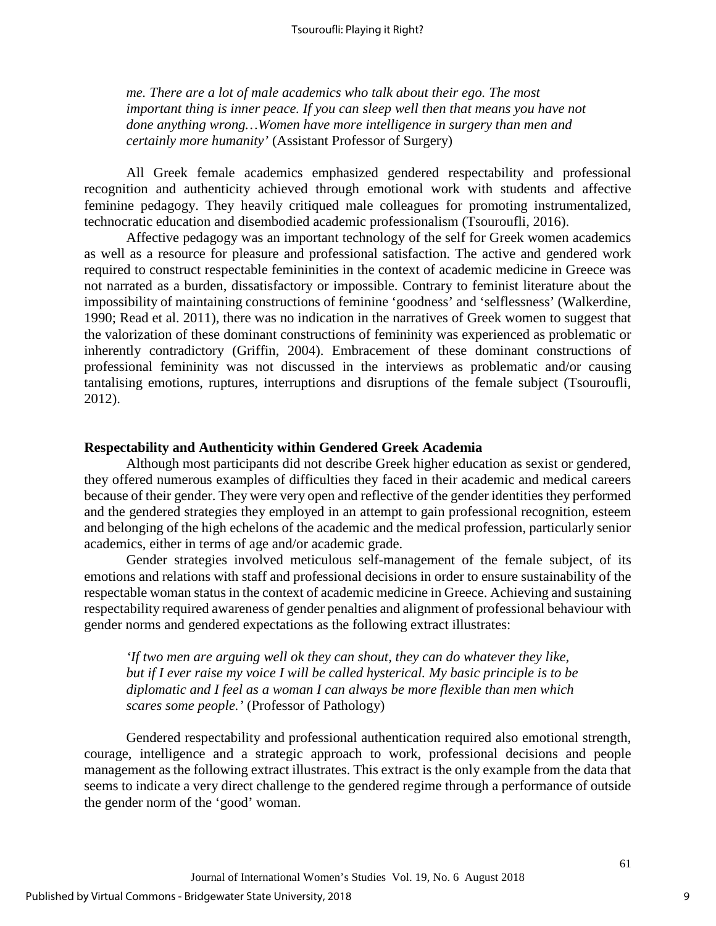*me. There are a lot of male academics who talk about their ego. The most important thing is inner peace. If you can sleep well then that means you have not done anything wrong…Women have more intelligence in surgery than men and certainly more humanity'* (Assistant Professor of Surgery)

All Greek female academics emphasized gendered respectability and professional recognition and authenticity achieved through emotional work with students and affective feminine pedagogy. They heavily critiqued male colleagues for promoting instrumentalized, technocratic education and disembodied academic professionalism (Tsouroufli, 2016).

Affective pedagogy was an important technology of the self for Greek women academics as well as a resource for pleasure and professional satisfaction. The active and gendered work required to construct respectable femininities in the context of academic medicine in Greece was not narrated as a burden, dissatisfactory or impossible. Contrary to feminist literature about the impossibility of maintaining constructions of feminine 'goodness' and 'selflessness' (Walkerdine, 1990; Read et al. 2011), there was no indication in the narratives of Greek women to suggest that the valorization of these dominant constructions of femininity was experienced as problematic or inherently contradictory (Griffin, 2004). Embracement of these dominant constructions of professional femininity was not discussed in the interviews as problematic and/or causing tantalising emotions, ruptures, interruptions and disruptions of the female subject (Tsouroufli, 2012).

#### **Respectability and Authenticity within Gendered Greek Academia**

Although most participants did not describe Greek higher education as sexist or gendered, they offered numerous examples of difficulties they faced in their academic and medical careers because of their gender. They were very open and reflective of the gender identities they performed and the gendered strategies they employed in an attempt to gain professional recognition, esteem and belonging of the high echelons of the academic and the medical profession, particularly senior academics, either in terms of age and/or academic grade.

Gender strategies involved meticulous self-management of the female subject, of its emotions and relations with staff and professional decisions in order to ensure sustainability of the respectable woman status in the context of academic medicine in Greece. Achieving and sustaining respectability required awareness of gender penalties and alignment of professional behaviour with gender norms and gendered expectations as the following extract illustrates:

*'If two men are arguing well ok they can shout, they can do whatever they like, but if I ever raise my voice I will be called hysterical. My basic principle is to be diplomatic and I feel as a woman I can always be more flexible than men which scares some people.'* (Professor of Pathology)

Gendered respectability and professional authentication required also emotional strength, courage, intelligence and a strategic approach to work, professional decisions and people management as the following extract illustrates. This extract is the only example from the data that seems to indicate a very direct challenge to the gendered regime through a performance of outside the gender norm of the 'good' woman.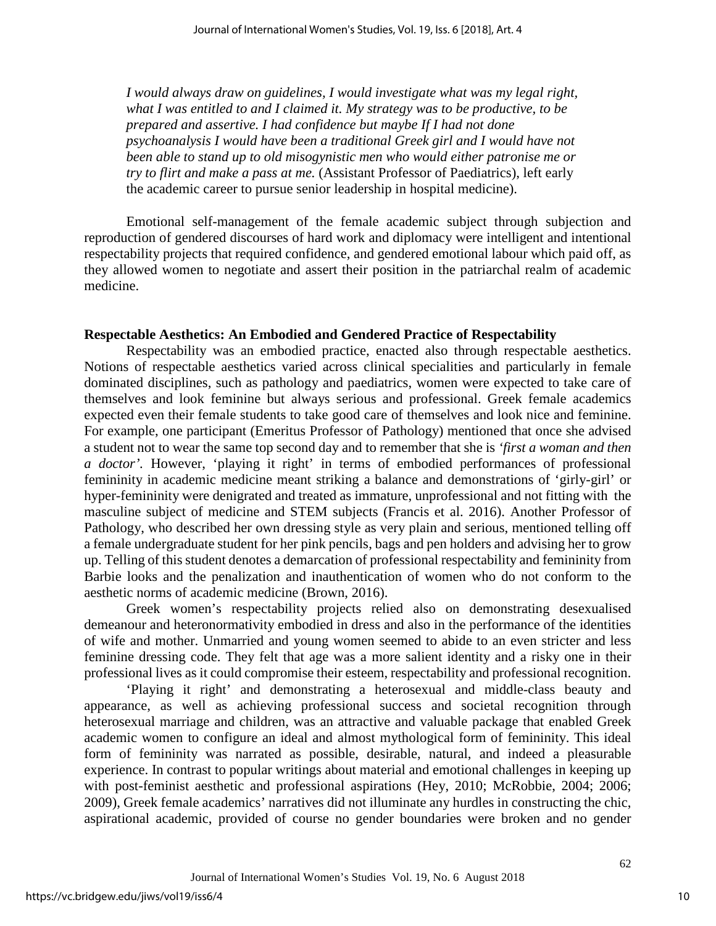*I would always draw on guidelines, I would investigate what was my legal right, what I was entitled to and I claimed it. My strategy was to be productive, to be prepared and assertive. I had confidence but maybe If I had not done psychoanalysis I would have been a traditional Greek girl and I would have not been able to stand up to old misogynistic men who would either patronise me or try to flirt and make a pass at me.* (Assistant Professor of Paediatrics), left early the academic career to pursue senior leadership in hospital medicine).

Emotional self-management of the female academic subject through subjection and reproduction of gendered discourses of hard work and diplomacy were intelligent and intentional respectability projects that required confidence, and gendered emotional labour which paid off, as they allowed women to negotiate and assert their position in the patriarchal realm of academic medicine.

#### **Respectable Aesthetics: An Embodied and Gendered Practice of Respectability**

Respectability was an embodied practice, enacted also through respectable aesthetics. Notions of respectable aesthetics varied across clinical specialities and particularly in female dominated disciplines, such as pathology and paediatrics, women were expected to take care of themselves and look feminine but always serious and professional. Greek female academics expected even their female students to take good care of themselves and look nice and feminine. For example, one participant (Emeritus Professor of Pathology) mentioned that once she advised a student not to wear the same top second day and to remember that she is *'first a woman and then a doctor'.* However, 'playing it right' in terms of embodied performances of professional femininity in academic medicine meant striking a balance and demonstrations of 'girly-girl' or hyper-femininity were denigrated and treated as immature, unprofessional and not fitting with the masculine subject of medicine and STEM subjects (Francis et al. 2016). Another Professor of Pathology, who described her own dressing style as very plain and serious, mentioned telling off a female undergraduate student for her pink pencils, bags and pen holders and advising her to grow up. Telling of this student denotes a demarcation of professional respectability and femininity from Barbie looks and the penalization and inauthentication of women who do not conform to the aesthetic norms of academic medicine (Brown, 2016).

Greek women's respectability projects relied also on demonstrating desexualised demeanour and heteronormativity embodied in dress and also in the performance of the identities of wife and mother. Unmarried and young women seemed to abide to an even stricter and less feminine dressing code. They felt that age was a more salient identity and a risky one in their professional lives as it could compromise their esteem, respectability and professional recognition.

'Playing it right' and demonstrating a heterosexual and middle-class beauty and appearance, as well as achieving professional success and societal recognition through heterosexual marriage and children, was an attractive and valuable package that enabled Greek academic women to configure an ideal and almost mythological form of femininity. This ideal form of femininity was narrated as possible, desirable, natural, and indeed a pleasurable experience. In contrast to popular writings about material and emotional challenges in keeping up with post-feminist aesthetic and professional aspirations (Hey, 2010; McRobbie, 2004; 2006; 2009), Greek female academics' narratives did not illuminate any hurdles in constructing the chic, aspirational academic, provided of course no gender boundaries were broken and no gender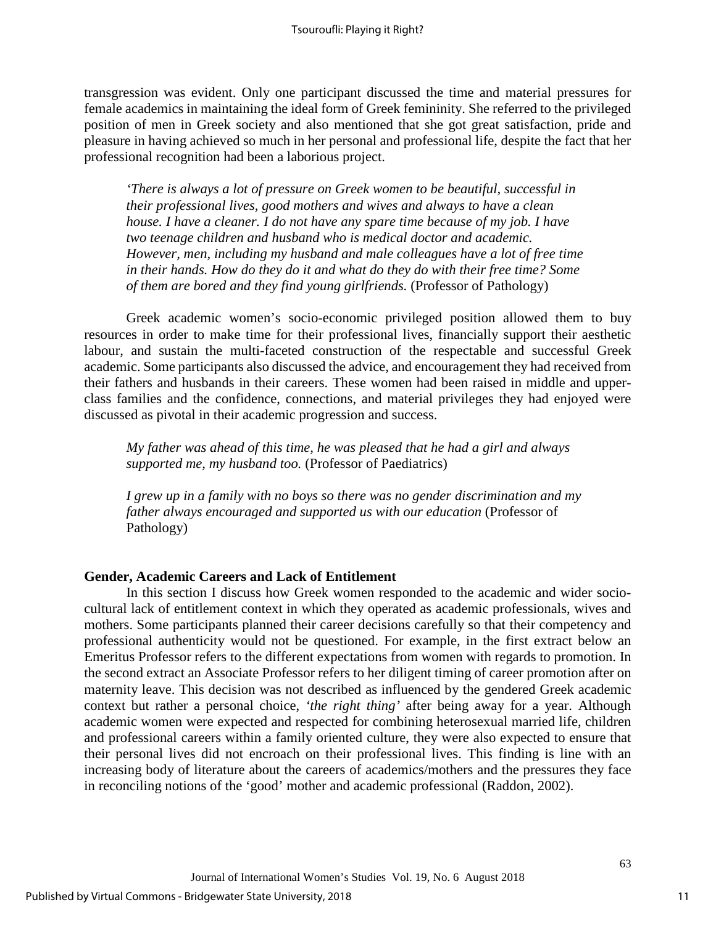transgression was evident. Only one participant discussed the time and material pressures for female academics in maintaining the ideal form of Greek femininity. She referred to the privileged position of men in Greek society and also mentioned that she got great satisfaction, pride and pleasure in having achieved so much in her personal and professional life, despite the fact that her professional recognition had been a laborious project.

*'There is always a lot of pressure on Greek women to be beautiful, successful in their professional lives, good mothers and wives and always to have a clean house. I have a cleaner. I do not have any spare time because of my job. I have two teenage children and husband who is medical doctor and academic. However, men, including my husband and male colleagues have a lot of free time in their hands. How do they do it and what do they do with their free time? Some of them are bored and they find young girlfriends.* (Professor of Pathology)

Greek academic women's socio-economic privileged position allowed them to buy resources in order to make time for their professional lives, financially support their aesthetic labour, and sustain the multi-faceted construction of the respectable and successful Greek academic. Some participants also discussed the advice, and encouragement they had received from their fathers and husbands in their careers. These women had been raised in middle and upperclass families and the confidence, connections, and material privileges they had enjoyed were discussed as pivotal in their academic progression and success.

*My father was ahead of this time, he was pleased that he had a girl and always supported me, my husband too.* (Professor of Paediatrics)

*I grew up in a family with no boys so there was no gender discrimination and my father always encouraged and supported us with our education* (Professor of Pathology)

## **Gender, Academic Careers and Lack of Entitlement**

In this section I discuss how Greek women responded to the academic and wider sociocultural lack of entitlement context in which they operated as academic professionals, wives and mothers. Some participants planned their career decisions carefully so that their competency and professional authenticity would not be questioned. For example, in the first extract below an Emeritus Professor refers to the different expectations from women with regards to promotion. In the second extract an Associate Professor refers to her diligent timing of career promotion after on maternity leave. This decision was not described as influenced by the gendered Greek academic context but rather a personal choice, *'the right thing'* after being away for a year. Although academic women were expected and respected for combining heterosexual married life, children and professional careers within a family oriented culture, they were also expected to ensure that their personal lives did not encroach on their professional lives. This finding is line with an increasing body of literature about the careers of academics/mothers and the pressures they face in reconciling notions of the 'good' mother and academic professional (Raddon, 2002).

11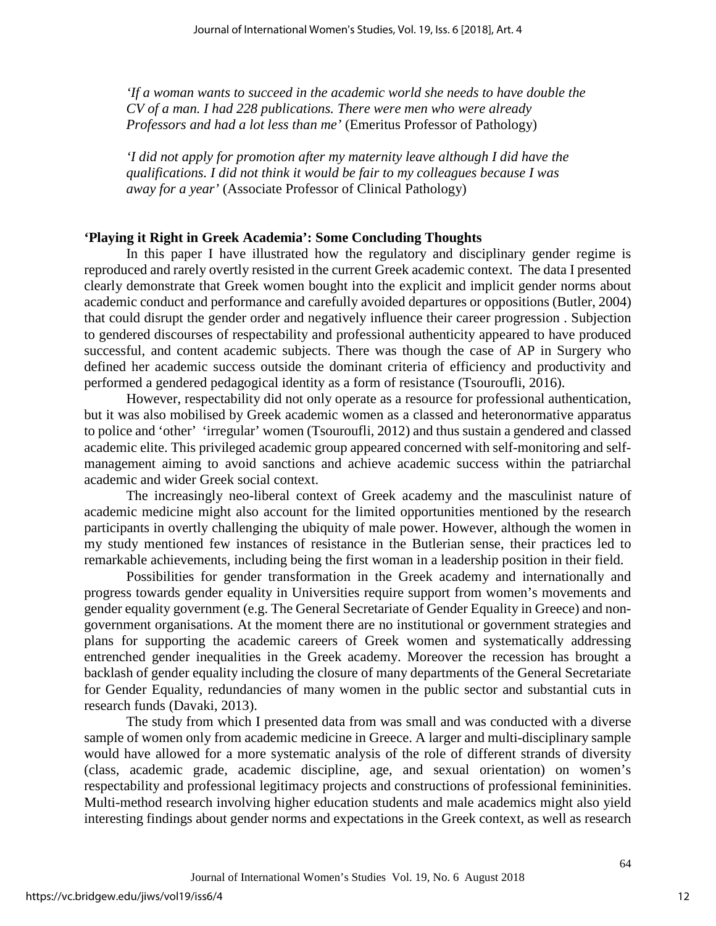*'If a woman wants to succeed in the academic world she needs to have double the CV of a man. I had 228 publications. There were men who were already Professors and had a lot less than me'* (Emeritus Professor of Pathology)

*'I did not apply for promotion after my maternity leave although I did have the qualifications. I did not think it would be fair to my colleagues because I was away for a year'* (Associate Professor of Clinical Pathology)

## **'Playing it Right in Greek Academia': Some Concluding Thoughts**

In this paper I have illustrated how the regulatory and disciplinary gender regime is reproduced and rarely overtly resisted in the current Greek academic context. The data I presented clearly demonstrate that Greek women bought into the explicit and implicit gender norms about academic conduct and performance and carefully avoided departures or oppositions (Butler, 2004) that could disrupt the gender order and negatively influence their career progression . Subjection to gendered discourses of respectability and professional authenticity appeared to have produced successful, and content academic subjects. There was though the case of AP in Surgery who defined her academic success outside the dominant criteria of efficiency and productivity and performed a gendered pedagogical identity as a form of resistance (Tsouroufli, 2016).

However, respectability did not only operate as a resource for professional authentication, but it was also mobilised by Greek academic women as a classed and heteronormative apparatus to police and 'other' 'irregular' women (Tsouroufli, 2012) and thus sustain a gendered and classed academic elite. This privileged academic group appeared concerned with self-monitoring and selfmanagement aiming to avoid sanctions and achieve academic success within the patriarchal academic and wider Greek social context.

The increasingly neo-liberal context of Greek academy and the masculinist nature of academic medicine might also account for the limited opportunities mentioned by the research participants in overtly challenging the ubiquity of male power. However, although the women in my study mentioned few instances of resistance in the Butlerian sense, their practices led to remarkable achievements, including being the first woman in a leadership position in their field.

Possibilities for gender transformation in the Greek academy and internationally and progress towards gender equality in Universities require support from women's movements and gender equality government (e.g. The General Secretariate of Gender Equality in Greece) and nongovernment organisations. At the moment there are no institutional or government strategies and plans for supporting the academic careers of Greek women and systematically addressing entrenched gender inequalities in the Greek academy. Moreover the recession has brought a backlash of gender equality including the closure of many departments of the General Secretariate for Gender Equality, redundancies of many women in the public sector and substantial cuts in research funds (Davaki, 2013).

The study from which I presented data from was small and was conducted with a diverse sample of women only from academic medicine in Greece. A larger and multi-disciplinary sample would have allowed for a more systematic analysis of the role of different strands of diversity (class, academic grade, academic discipline, age, and sexual orientation) on women's respectability and professional legitimacy projects and constructions of professional femininities. Multi-method research involving higher education students and male academics might also yield interesting findings about gender norms and expectations in the Greek context, as well as research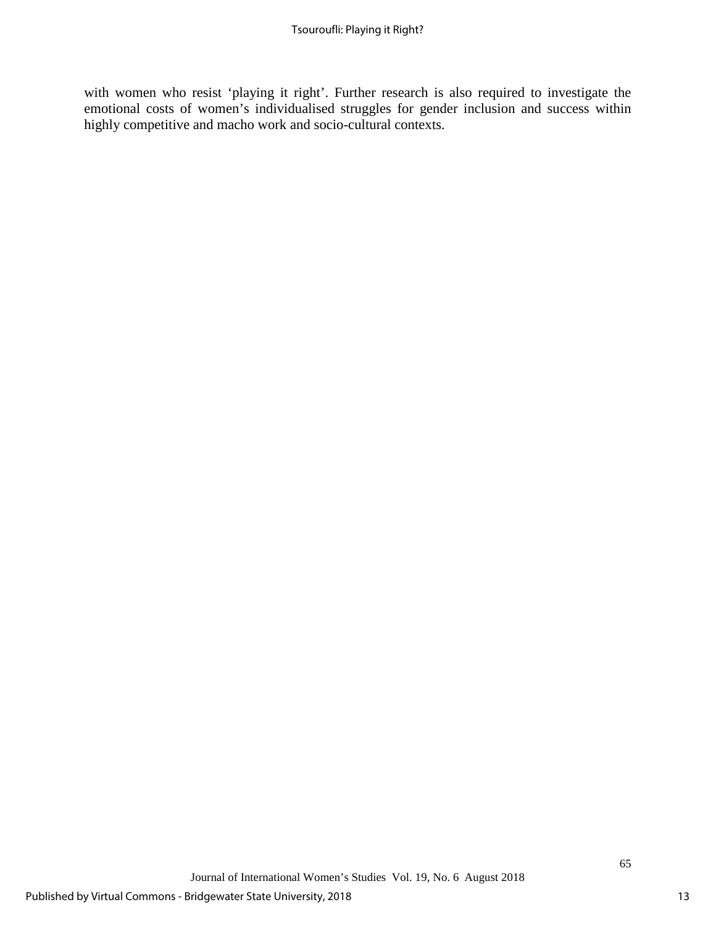with women who resist 'playing it right'. Further research is also required to investigate the emotional costs of women's individualised struggles for gender inclusion and success within highly competitive and macho work and socio-cultural contexts.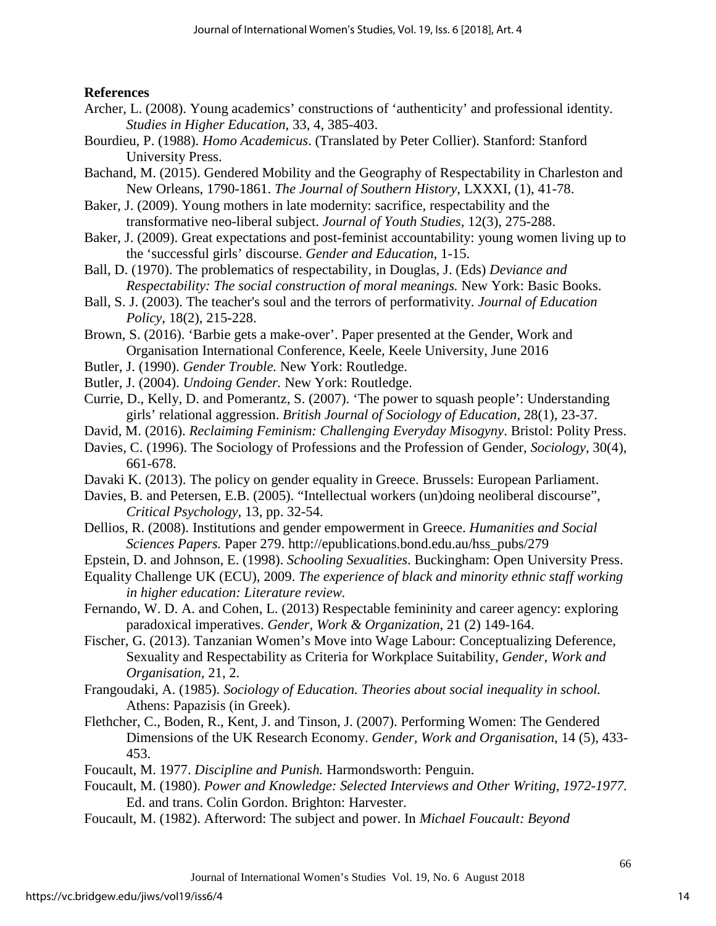## **References**

- Archer, L. (2008). Young academics' constructions of 'authenticity' and professional identity. *Studies in Higher Education*, 33, 4, 385-403.
- Bourdieu, P. (1988). *Homo Academicus*. (Translated by Peter Collier). Stanford: Stanford University Press.
- Bachand, M. (2015). Gendered Mobility and the Geography of Respectability in Charleston and New Orleans, 1790-1861. *The Journal of Southern History*, LXXXI, (1), 41-78.
- Baker, J. (2009). Young mothers in late modernity: sacrifice, respectability and the transformative neo-liberal subject. *Journal of Youth Studies*, 12(3), 275-288.
- Baker, J. (2009). Great expectations and post-feminist accountability: young women living up to the 'successful girls' discourse. *Gender and Education*, 1-15.
- Ball, D. (1970). The problematics of respectability, in Douglas, J. (Eds) *Deviance and Respectability: The social construction of moral meanings.* New York: Basic Books.
- Ball, S. J. (2003). The teacher's soul and the terrors of performativity. *Journal of Education Policy*, 18(2), 215-228.
- Brown, S. (2016). 'Barbie gets a make-over'. Paper presented at the Gender, Work and Organisation International Conference, Keele, Keele University, June 2016
- Butler, J. (1990). *Gender Trouble.* New York: Routledge.
- Butler, J. (2004). *Undoing Gender.* New York: Routledge.
- Currie, D., Kelly, D. and Pomerantz, S. (2007). 'The power to squash people': Understanding girls' relational aggression. *British Journal of Sociology of Education*, 28(1), 23-37.
- David, M. (2016). *Reclaiming Feminism: Challenging Everyday Misogyny*. Bristol: Polity Press.
- Davies, C. (1996). The Sociology of Professions and the Profession of Gender, *Sociology*, 30(4), 661-678.
- Davaki K. (2013). The policy on gender equality in Greece. Brussels: European Parliament.
- Davies, B. and Petersen, E.B. (2005). "Intellectual workers (un)doing neoliberal discourse", *Critical Psychology*, 13, pp. 32-54.
- Dellios, R. (2008). Institutions and gender empowerment in Greece. *Humanities and Social Sciences Papers.* Paper 279. http://epublications.bond.edu.au/hss\_pubs/279
- Epstein, D. and Johnson, E. (1998). *Schooling Sexualities*. Buckingham: Open University Press.
- Equality Challenge UK (ECU), 2009. *The experience of black and minority ethnic staff working in higher education: Literature review.*
- Fernando, W. D. A. and Cohen, L. (2013) Respectable femininity and career agency: exploring paradoxical imperatives. *Gender, Work & Organization*, 21 (2) 149-164.
- Fischer, G. (2013). Tanzanian Women's Move into Wage Labour: Conceptualizing Deference, Sexuality and Respectability as Criteria for Workplace Suitability, *Gender, Work and Organisation,* 21, 2.
- Frangoudaki, A. (1985). *Sociology of Education. Theories about social inequality in school.*  Athens: Papazisis (in Greek).
- Flethcher, C., Boden, R., Kent, J. and Tinson, J. (2007). Performing Women: The Gendered Dimensions of the UK Research Economy. *Gender, Work and Organisation*, 14 (5), 433- 453.
- Foucault, M. 1977. *Discipline and Punish.* Harmondsworth: Penguin.
- Foucault, M. (1980). *Power and Knowledge: Selected Interviews and Other Writing, 1972-1977.*  Ed. and trans. Colin Gordon. Brighton: Harvester.
- Foucault, M. (1982). Afterword: The subject and power. In *Michael Foucault: Beyond*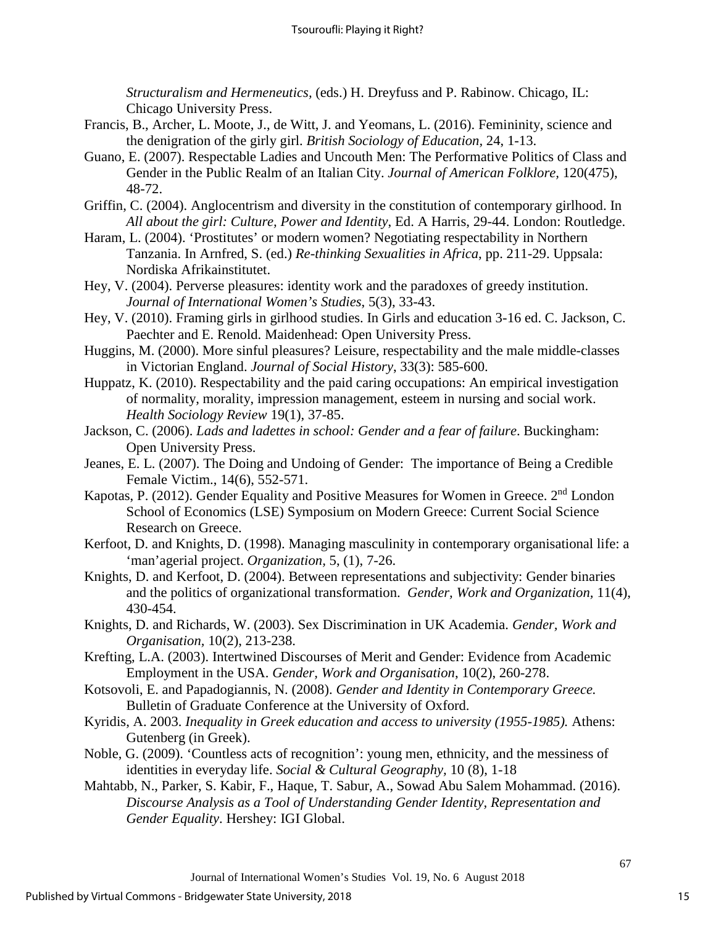*Structuralism and Hermeneutics,* (eds.) H. Dreyfuss and P. Rabinow. Chicago, IL: Chicago University Press.

- Francis, B., Archer, L. Moote, J., de Witt, J. and Yeomans, L. (2016). Femininity, science and the denigration of the girly girl. *British Sociology of Education,* 24, 1-13.
- Guano, E. (2007). Respectable Ladies and Uncouth Men: The Performative Politics of Class and Gender in the Public Realm of an Italian City. *Journal of American Folklore,* 120(475), 48-72.
- Griffin, C. (2004). Anglocentrism and diversity in the constitution of contemporary girlhood. In *All about the girl: Culture, Power and Identity*, Ed. A Harris, 29-44. London: Routledge.
- Haram, L. (2004). 'Prostitutes' or modern women? Negotiating respectability in Northern Tanzania. In Arnfred, S. (ed.) *Re-thinking Sexualities in Africa*, pp. 211-29. Uppsala: Nordiska Afrikainstitutet.
- Hey, V. (2004). Perverse pleasures: identity work and the paradoxes of greedy institution. *Journal of International Women's Studies*, 5(3), 33-43.
- Hey, V. (2010). Framing girls in girlhood studies. In Girls and education 3-16 ed. C. Jackson, C. Paechter and E. Renold. Maidenhead: Open University Press.
- Huggins, M. (2000). More sinful pleasures? Leisure, respectability and the male middle-classes in Victorian England. *Journal of Social History*, 33(3): 585-600.
- Huppatz, K. (2010). Respectability and the paid caring occupations: An empirical investigation of normality, morality, impression management, esteem in nursing and social work. *Health Sociology Review* 19(1), 37-85.
- Jackson, C. (2006). *Lads and ladettes in school: Gender and a fear of failure*. Buckingham: Open University Press.
- Jeanes, E. L. (2007). The Doing and Undoing of Gender: The importance of Being a Credible Female Victim., 14(6), 552-571.
- Kapotas, P. (2012). Gender Equality and Positive Measures for Women in Greece. 2<sup>nd</sup> London School of Economics (LSE) Symposium on Modern Greece: Current Social Science Research on Greece.
- Kerfoot, D. and Knights, D. (1998). Managing masculinity in contemporary organisational life: a 'man'agerial project. *Organization,* 5, (1), 7-26.
- Knights, D. and Kerfoot, D. (2004). Between representations and subjectivity: Gender binaries and the politics of organizational transformation. *Gender, Work and Organization,* 11(4), 430-454.
- Knights, D. and Richards, W. (2003). Sex Discrimination in UK Academia. *Gender, Work and Organisation,* 10(2), 213-238.
- Krefting, L.A. (2003). Intertwined Discourses of Merit and Gender: Evidence from Academic Employment in the USA. *Gender, Work and Organisation*, 10(2), 260-278.
- Kotsovoli, E. and Papadogiannis, N. (2008). *Gender and Identity in Contemporary Greece.* Bulletin of Graduate Conference at the University of Oxford.
- Kyridis, A. 2003. *Inequality in Greek education and access to university (1955-1985).* Athens: Gutenberg (in Greek).
- Noble, G. (2009). 'Countless acts of recognition': young men, ethnicity, and the messiness of identities in everyday life. *Social & Cultural Geography,* 10 (8), 1-18
- Mahtabb, N., Parker, S. Kabir, F., Haque, T. Sabur, A., Sowad Abu Salem Mohammad. (2016). *Discourse Analysis as a Tool of Understanding Gender Identity, Representation and Gender Equality*. Hershey: IGI Global.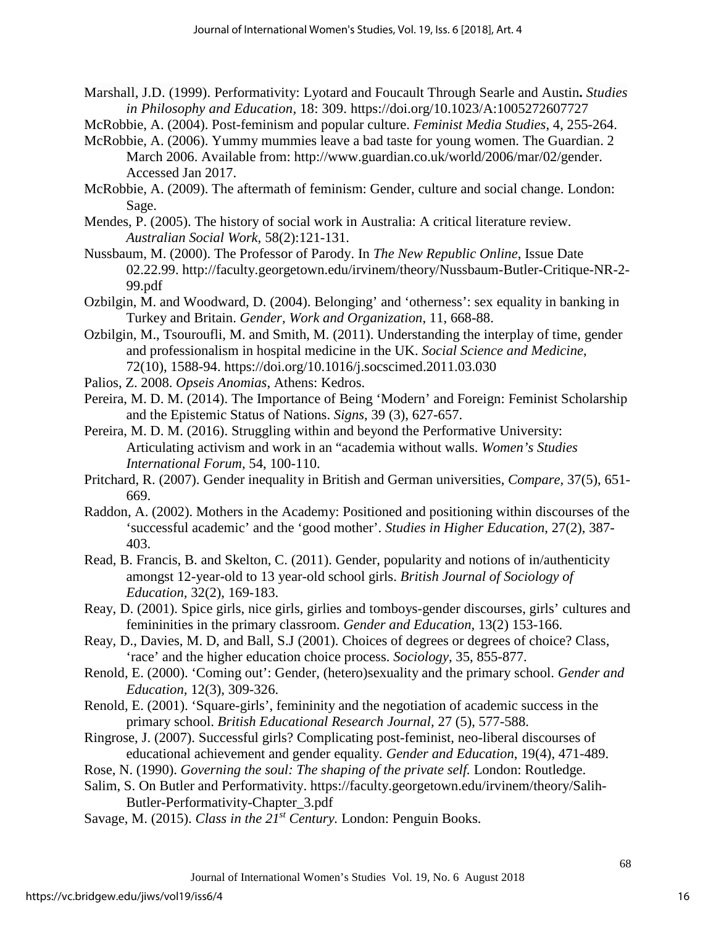Marshall, J.D. (1999). Performativity: Lyotard and Foucault Through Searle and Austin**.** *Studies in Philosophy and Education,* 18: 309. https://doi.org/10.1023/A:1005272607727

McRobbie, A. (2004). Post-feminism and popular culture. *Feminist Media Studies*, 4, 255-264.

- McRobbie, A. (2006). Yummy mummies leave a bad taste for young women. The Guardian. 2 March 2006. Available from: http://www.guardian.co.uk/world/2006/mar/02/gender. Accessed Jan 2017.
- McRobbie, A. (2009). The aftermath of feminism: Gender, culture and social change. London: Sage.
- Mendes, P. (2005). The history of social work in Australia: A critical literature review. *Australian Social Work,* 58(2):121-131.
- Nussbaum, M. (2000). The Professor of Parody. In *The New Republic Online*, Issue Date 02.22.99. http://faculty.georgetown.edu/irvinem/theory/Nussbaum-Butler-Critique-NR-2- 99.pdf
- Ozbilgin, M. and Woodward, D. (2004). Belonging' and 'otherness': sex equality in banking in Turkey and Britain. *Gender, Work and Organization*, 11, 668-88.
- Ozbilgin, M., Tsouroufli, M. and Smith, M. (2011). Understanding the interplay of time, gender and professionalism in hospital medicine in the UK. *Social Science and Medicine*, 72(10), 1588-94. https://doi.org/10.1016/j.socscimed.2011.03.030
- Palios, Z. 2008. *Opseis Anomias*, Athens: Kedros.
- Pereira, M. D. M. (2014). The Importance of Being 'Modern' and Foreign: Feminist Scholarship and the Epistemic Status of Nations. *Signs*, 39 (3), 627-657.
- Pereira, M. D. M. (2016). Struggling within and beyond the Performative University: Articulating activism and work in an "academia without walls. *Women's Studies International Forum,* 54, 100-110.
- Pritchard, R. (2007). Gender inequality in British and German universities, *Compare,* 37(5), 651- 669.
- Raddon, A. (2002). Mothers in the Academy: Positioned and positioning within discourses of the 'successful academic' and the 'good mother'. *Studies in Higher Education*, 27(2), 387- 403.
- Read, B. Francis, B. and Skelton, C. (2011). Gender, popularity and notions of in/authenticity amongst 12-year-old to 13 year-old school girls. *British Journal of Sociology of Education,* 32(2), 169-183.
- Reay, D. (2001). Spice girls, nice girls, girlies and tomboys-gender discourses, girls' cultures and femininities in the primary classroom. *Gender and Education,* 13(2) 153-166.
- Reay, D., Davies, M. D, and Ball, S.J (2001). Choices of degrees or degrees of choice? Class, 'race' and the higher education choice process. *Sociology*, 35, 855-877.
- Renold, E. (2000). 'Coming out': Gender, (hetero)sexuality and the primary school. *Gender and Education,* 12(3), 309-326.
- Renold, E. (2001). 'Square-girls', femininity and the negotiation of academic success in the primary school. *British Educational Research Journal,* 27 (5), 577-588.
- Ringrose, J. (2007). Successful girls? Complicating post-feminist, neo-liberal discourses of educational achievement and gender equality*. Gender and Education*, 19(4), 471-489.
- Rose, N. (1990). *Governing the soul: The shaping of the private self.* London: Routledge.
- Salim, S. On Butler and Performativity. https://faculty.georgetown.edu/irvinem/theory/Salih-Butler-Performativity-Chapter\_3.pdf
- Savage, M. (2015). *Class in the 21st Century.* London: Penguin Books.